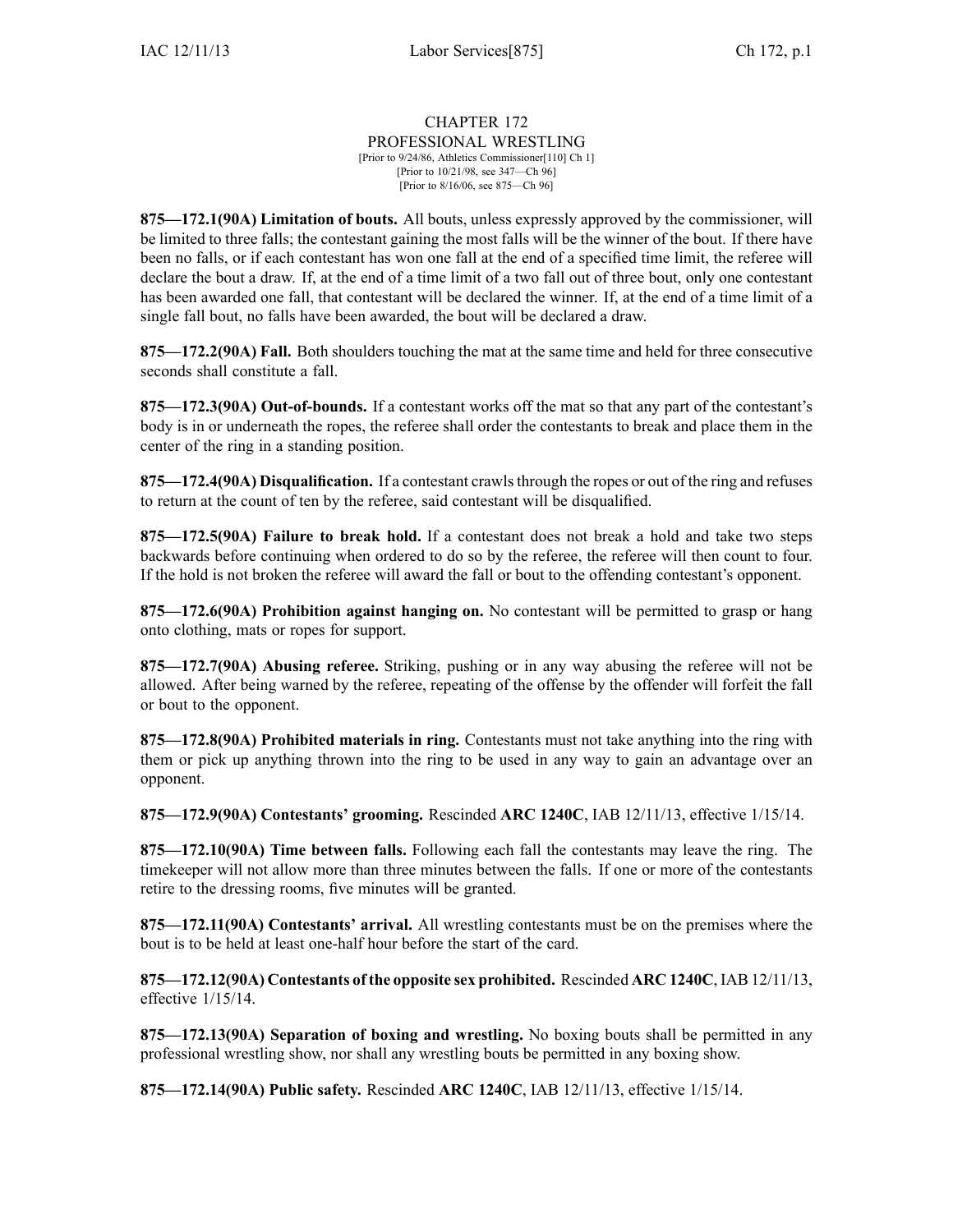## CHAPTER 172 PROFESSIONAL WRESTLING [Prior to 9/24/86, Athletics Commissioner[110] Ch 1] [Prior to 10/21/98, see 347—Ch 96]

[Prior to 8/16/06, see 875—Ch 96]

**875—172.1(90A) Limitation of bouts.** All bouts, unless expressly approved by the commissioner, will be limited to three falls; the contestant gaining the most falls will be the winner of the bout. If there have been no falls, or if each contestant has won one fall at the end of <sup>a</sup> specified time limit, the referee will declare the bout <sup>a</sup> draw. If, at the end of <sup>a</sup> time limit of <sup>a</sup> two fall out of three bout, only one contestant has been awarded one fall, that contestant will be declared the winner. If, at the end of <sup>a</sup> time limit of <sup>a</sup> single fall bout, no falls have been awarded, the bout will be declared <sup>a</sup> draw.

**875—172.2(90A) Fall.** Both shoulders touching the mat at the same time and held for three consecutive seconds shall constitute <sup>a</sup> fall.

**875—172.3(90A) Out-of-bounds.** If <sup>a</sup> contestant works off the mat so that any par<sup>t</sup> of the contestant's body is in or underneath the ropes, the referee shall order the contestants to break and place them in the center of the ring in <sup>a</sup> standing position.

**875—172.4(90A) Disqualification.** If <sup>a</sup> contestant crawlsthrough the ropes or out of the ring and refuses to return at the count of ten by the referee, said contestant will be disqualified.

**875—172.5(90A) Failure to break hold.** If <sup>a</sup> contestant does not break <sup>a</sup> hold and take two steps backwards before continuing when ordered to do so by the referee, the referee will then count to four. If the hold is not broken the referee will award the fall or bout to the offending contestant's opponent.

**875—172.6(90A) Prohibition against hanging on.** No contestant will be permitted to grasp or hang onto clothing, mats or ropes for support.

**875—172.7(90A) Abusing referee.** Striking, pushing or in any way abusing the referee will not be allowed. After being warned by the referee, repeating of the offense by the offender will forfeit the fall or bout to the opponent.

**875—172.8(90A) Prohibited materials in ring.** Contestants must not take anything into the ring with them or pick up anything thrown into the ring to be used in any way to gain an advantage over an opponent.

**875—172.9(90A) Contestants' grooming.** Rescinded **ARC 1240C**, IAB 12/11/13, effective 1/15/14.

**875—172.10(90A) Time between falls.** Following each fall the contestants may leave the ring. The timekeeper will not allow more than three minutes between the falls. If one or more of the contestants retire to the dressing rooms, five minutes will be granted.

**875—172.11(90A) Contestants' arrival.** All wrestling contestants must be on the premises where the bout is to be held at least one-half hour before the start of the card.

**875—172.12(90A) Contestants of the opposite sex prohibited.** Rescinded **ARC 1240C**, IAB 12/11/13, effective 1/15/14.

**875—172.13(90A) Separation of boxing and wrestling.** No boxing bouts shall be permitted in any professional wrestling show, nor shall any wrestling bouts be permitted in any boxing show.

**875—172.14(90A) Public safety.** Rescinded **ARC 1240C**, IAB 12/11/13, effective 1/15/14.